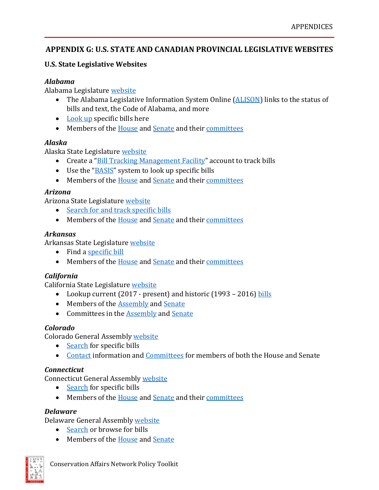## **APPENDIX G: U.S. STATE AND CANADIAN PROVINCIAL LEGISLATIVE WEBSITES**

## **U.S. State Legislative Websites**

## *Alabama*

Alabama Legislature [website](http://www.legislature.state.al.us/index.html)

- The Alabama Legislative Information System Online [\(ALISON\)](http://alisondb.legislature.state.al.us/acas/ACASLoginfire.asp) links to the status of bills and text, the Code of Alabama, and more
- [Look up](http://alisondb.legislature.state.al.us/acas/ACASLoginFire.asp) specific bills here
- Members of the [House](http://www.legislature.state.al.us/house/representatives/houseroster_alpha.html) and [Senate](http://www.legislature.state.al.us/senate/senators/senateroster_alpha.html) and thei[r committees](http://www.legislature.state.al.us/house/housecommittees.html#Anchor-RULE-39793)

## *Alaska*

Alaska State Legislature [website](http://w3.legis.state.ak.us/)

- Create a "<u>Bill Tracking Management Facility</u>" account to track bills
- Use the "**BASIS**" system to look up specific bills
- Members of the [House](http://house.legis.state.ak.us/) and [Senate](http://senate.legis.state.ak.us/) and thei[r committees](http://www.legis.state.ak.us/basis/commbr_info.asp?session=28)

## *Arizona*

Arizona State Legislature [website](http://www.azleg.gov/)

- [Search for and track specific bills](https://apps.azleg.gov/BillStatus/BillOverview)
- Members of the [House](https://www.azleg.gov/MemberRoster/?body=H) and [Senate](https://www.azleg.gov/MemberRoster/?body=S) and thei[r committees](https://apps.azleg.gov/BillStatus/CommitteeOverView?SessionID=125)

## *Arkansas*

Arkansas State Legislature [website](http://www.arkleg.state.ar.us/)

- Find a [specific bill](http://www.arkleg.state.ar.us/SearchCenter/Pages/historicalbil.aspx)
- Members of the **House** and [Senate](http://www.arkansas.gov/senate/senators.html) and thei[r committees](http://www.arkleg.state.ar.us/assembly/2013/2014S2/Pages/Committees.aspx)

## *California*

California State Legislature [website](http://www.legislature.ca.gov/)

- Lookup current (2017 present) and historic (1993 2016) [bills](http://www.legislature.ca.gov/bill_information.html)
- Members of the [Assembly](http://assembly.ca.gov/assemblymembers) and [Senate](http://senate.ca.gov/senators)
- Committees in the [Assembly](http://assembly.ca.gov/committees) and [Senate](http://senate.ca.gov/committees)

## *Colorado*

Colorado General Assembly [website](https://www.google.com/url?q=http://leg.colorado.gov/&sa=D&source=docs&ust=1649877716157795&usg=AOvVaw0z-TlXYBYseH73aq1DSo_A)

- [Search](http://www.leg.state.co.us/CLICS/CLICS2014A/csl.nsf/Search?OpenFrameSet) for specific bills
- [Contact](http://www.leg.state.co.us/CLICS/CLICS2014A/csl.nsf/Directory?openFrameset) information and [Committees](http://www.colorado.gov/cs/Satellite?c=Page&childpagename=CGA-LegislativeCouncil%2FCLCLayout&cid=1245677985421&pagename=CLCWrapper) for members of both the House and Senate

## *Connecticut*

Connecticut General Assembly [website](http://www.cga.ct.gov/)

- [Search](https://www.cga.ct.gov/asp/CGABillInfo/CGABillInfoRequest.asp) for specific bills
- Members of the [House](http://www.cga.ct.gov/asp/menu/hlist.asp) and [Senate](http://www.cga.ct.gov/asp/menu/slist.asp) and thei[r committees](http://www.cga.ct.gov/2014/bul/SupDoc/commassignment.htm)

## *Delaware*

Delaware General Assembly [website](http://legis.delaware.gov/)

- [Search](https://legis.delaware.gov/AllLegislation) or browse for bills
- Members of the [House](https://legis.delaware.gov/Chambers/House/AssemblyMembers) and [Senate](https://legis.delaware.gov/Chambers/Senate/AssemblyMembers)

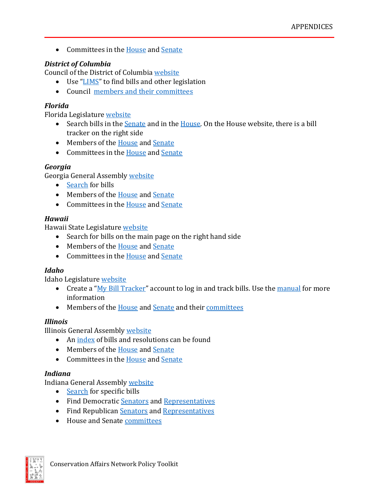• Committees in the [House](http://legis.delaware.gov/LIS/lis147.nsf/HCommittees?readform&nav=house) an[d Senate](http://legis.delaware.gov/LIS/lis147.nsf/SCommittees?readform&nav=senate)

# *District of Columbia*

Council of the District of Columbia [website](http://www.dccouncil.washington.dc.us/)

- Use ["LIMS"](http://lims.dccouncil.us/) to find bills and other legislation
- Council [members](http://dccouncil.us/council) and their [committees](http://dccouncil.us/council)

# *Florida*

Florida Legislature [website](http://www.leg.state.fl.us/Welcome/index.cfm?CFID=22303526&CFTOKEN=55174894)

- Search bills in the [Senate](http://www.flsenate.gov/Session/Bills/2015?chamber=senate&searchOnlyCurrentVersion=True&isIncludeAmendments=False&isFirstReference=True&citationType=FL%20Statutes&pageNumber=0) and in the [House.](http://www.myfloridahouse.gov/Sections/Bills/bills.aspx) On the House website, there is a bill tracker on the right side
- Members of the **House** and **Senate**
- Committees in the [House](http://www.myfloridahouse.gov/Sections/Committees/committees.aspx) and [Senate](http://www.flsenate.gov/Committees)

## *Georgia*

Georgia General Assembly [website](http://www.legis.ga.gov/)

- [Search](http://www.legis.ga.gov/Legislation/en-US/Search.aspx) for bills
- Members of the [House](http://www.house.ga.gov/Representatives/en-US/HouseMembersList.aspx) and [Senate](http://www.senate.ga.gov/senators/en-US/SenateMembersList.aspx)
- Committees in the [House](http://www.house.ga.gov/Committees/en-US/CommitteeList.aspx) an[d Senate](http://www.senate.ga.gov/committees/en-US/SenateCommitteesList.aspx)

## *Hawaii*

Hawaii State Legislature [website](http://www.capitol.hawaii.gov/)

- Search for bills on the main page on the right hand side
- Members of the [House](http://www.capitol.hawaii.gov/members/legislators.aspx?chamber=H) and [Senate](http://www.capitol.hawaii.gov/members/legislators.aspx?chamber=S)
- Committees in the [House](http://www.capitol.hawaii.gov/committees/committees.aspx?chamber=H) an[d Senate](http://www.capitol.hawaii.gov/committees/committees.aspx?chamber=S)

# *Idaho*

Idaho Legislature [website](http://www.legislature.idaho.gov/)

- Create a "<u>My Bill Tracker</u>" account to log in and track bills. Use the [manual](http://lso.legislature.idaho.gov/BillTracker/BillTrackerManual.pdf) for more information
- Members of the **House** and **Senate** and thei[r committees](http://legislature.idaho.gov/about/standingcommittees.htm)

# *Illinois*

Illinois General Assembly [website](http://www.ilga.gov/)

- An [index](http://www.ilga.gov/legislation/default.asp) of bills and resolutions can be found
- Members of the [House](http://www.ilga.gov/house/default.asp) and [Senate](http://www.ilga.gov/senate/default.asp)
- Committees in the [House](http://www.ilga.gov/house/committees/default.asp) an[d Senate](http://www.ilga.gov/senate/committees/default.asp)

# *Indiana*

Indiana General Assembly [website](http://iga.in.gov/)

- [Search](http://iga.in.gov/legislative/2014/bills/) for specific bills
- Find Democratic [Senators](http://www.in.gov/legislative/senate_democrats/listingbyname.htm) and [Representatives](http://indianahousedemocrats.org/members/all-democratic-members)
- Find Republican [Senators](http://www.indianasenaterepublicans.com/senators/) and [Representatives](http://www.in.gov/legislative/house_republicans/members.html)
- House and Senat[e committees](http://iga.in.gov/legislative/2014/committees/)

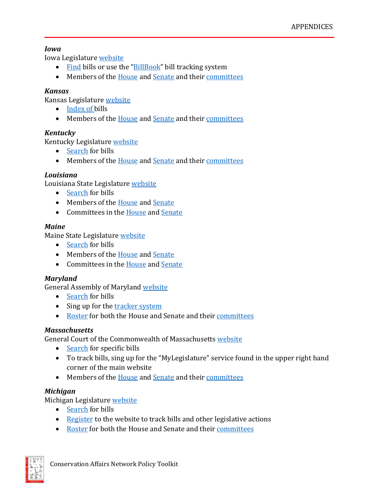## *Iowa*

Iowa Legislature [website](https://www.legis.iowa.gov/)

- [Find](https://www.legis.iowa.gov/legislation) bills or use the ["BillBook"](http://coolice.legis.iowa.gov/Cool-ICE/default.asp?category=billinfo&Service=Billbook) bill tracking system
- Members of the [House](https://www.legis.iowa.gov/legislators/house) and [Senate](https://www.legis.iowa.gov/legislators/senate) and thei[r committees](https://www.legis.iowa.gov/committees)

# *Kansas*

Kansas Legislature [website](http://www.kslegislature.org/)

- [Index](http://www.kslegislature.org/li/b2013_14/measures/bills/) of bills
- Members of the [House](http://www.kslegislature.org/li/b2013_14/chamber/house/roster/) and [Senate](http://www.kslegislature.org/li/b2013_14/chamber/senate/roster/) and thei[r committees](http://www.kslegislature.org/li/b2013_14/committees/)

## *Kentucky*

Kentucky Legislature [website](http://www.lrc.ky.gov/)

- [Search](http://www.lrc.ky.gov/legislation.htm) for bills
- Members of the [House](http://www.lrc.ky.gov/house/hsemembers.htm) and [Senate](http://www.lrc.ky.gov/senate/senmembers.htm) and thei[r committees](http://www.lrc.ky.gov/committees.htm)

## *Louisiana*

Louisiana State Legislatur[e website](http://www.legis.la.gov/legis/home.aspx)

- [Search](http://www.legis.la.gov/legis/BillSearch.aspx?sid=last) for bills
- Members of the [House](http://house.louisiana.gov/H_Reps/H_Reps_ByName.asp) and [Senate](http://senate.la.gov/Senators/)
- Committees in the [House](http://www.legis.la.gov/legis/Committees.aspx?c=H) an[d Senate](http://www.legis.la.gov/legis/Committees.aspx?c=S)

## *Maine*

Maine State Legislature [website](https://www.google.com/url?q=https://legislature.maine.gov/&sa=D&source=docs&ust=1649877716154958&usg=AOvVaw2y8PqNIc8sjOvQtp724t6o)

- [Search](http://www.mainelegislature.org/LawMakerWeb/search.asp) for bills
- Members of the [House](http://www.maine.gov/legis/house/hbiolist.htm#top) and [Senate](http://legisweb1.mainelegislature.org/wp/senate/126th-maine-senators/)
- Committees in the [House](http://www.maine.gov/legis/house/commit.htm) an[d Senate](http://legisweb1.mainelegislature.org/wp/senate/legislative-committees/)

# *Maryland*

General Assembly of Maryland [website](http://mgaleg.maryland.gov/)

- [Search](http://mgaleg.maryland.gov/webmga/frmLegislation.aspx?pid=legisnpage&tab=subject3) for bills
- Sing up for the [tracker system](http://mgaleg.maryland.gov/webmga/frmTrackingMain.aspx?pid=trackpage)
- [Roster](http://mgaleg.maryland.gov/webmga/frmmain.aspx?pid=legisrpage&tab=subject6) for both the House and Senate and their [committees](http://mgaleg.maryland.gov/webmga/frmcommittees.aspx?pid=commpage&tab=subject7)

# *Massachusetts*

General Court of the Commonwealth of Massachusetts [website](https://malegislature.gov/)

- [Search](https://malegislature.gov/Bills/Search) for specific bills
- To track bills, sing up for the "MyLegislature" service found in the upper right hand corner of the main website
- Members of the [House](https://malegislature.gov/People/House) and [Senate](https://malegislature.gov/People/Senate) and thei[r committees](https://malegislature.gov/Committees)

# *Michigan*

Michigan Legislature [website](http://www.legislature.mi.gov/)

- [Search](http://www.legislature.mi.gov/%28S%28elt2ybb02frzw1jih0fkyeri%29%29/mileg.aspx?page=Bills) for bills
- [Register](https://www.legislature.mi.gov/%28S%28elt2ybb02frzw1jih0fkyeri%29%29/mileg.aspx?page=Register) to the website to track bills and other legislative actions
- [Roster](http://www.legislature.mi.gov/%28S%28elt2ybb02frzw1jih0fkyeri%29%29/mileg.aspx?page=legislators) for both the House and Senate and their [committees](http://www.legislature.mi.gov/%28S%28elt2ybb02frzw1jih0fkyeri%29%29/mileg.aspx?page=Committees)

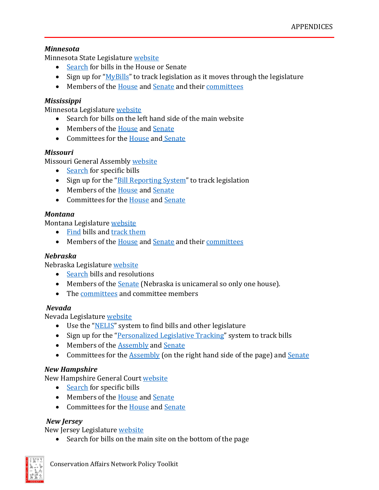## *Minnesota*

Minnesota State Legislature [website](http://www.leg.state.mn.us/)

- [Search](http://www.leg.state.mn.us/leg/legis.aspx) for bills in the House or Senate
- Sign up for " $MvBills$ " to track legislation as it moves through the legislature
- Members of the [House](http://www.house.leg.state.mn.us/members/hmem.asp) and [Senate](http://www.senate.mn/members/index.php?ls=#header) and thei[r committees](http://www.leg.state.mn.us/leg/committees.aspx)

# *Mississippi*

Minnesota Legislature [website](http://www.legislature.ms.gov/)

- Search for bills on the left hand side of the main website
- Members of the [House](http://billstatus.ls.state.ms.us/members/hr_membs.xml) and [Senate](http://billstatus.ls.state.ms.us/members/ss_membs.xml)
- Committees for the [House](http://billstatus.ls.state.ms.us/htms/h_cmtememb.xml) and [Senate](http://billstatus.ls.state.ms.us/htms/s_cmtememb.xml)

## *Missouri*

Missouri General Assembly [website](http://www.moga.mo.gov/)

- [Search](http://www.senate.mo.gov/BTSSearch/Default.aspx) for specific bills
- Sign up for the ["Bill Reporting System"](http://www.senate.mo.gov/BRS_Web/Login.aspx) to track legislation
- Members of the [House](http://www.house.mo.gov/member.aspx) and [Senate](http://www.senate.mo.gov/14info/SenateRoster.htm)
- Committees for the [House](http://www.house.mo.gov/CommitteeList.aspx) and [Senate](http://www.senate.mo.gov/14info/com-info.htm)

## *Montana*

Montana Legislature [website](https://www.mo.gov/government/legislative-branch/)

- [Find](http://laws.leg.mt.gov/legprd/law0203w$.startup?P_SESS=20151) bills and [track them](https://www.house.mo.gov/billcentral.aspx)
- Members of the [House](http://leg.mt.gov/css/Sessions/63rd/roster.asp?HouseID=1&SessionID=107) and [Senate](http://leg.mt.gov/css/Sessions/63rd/roster.asp?HouseID=2&SessionID=107) and thei[r committees](http://leg.mt.gov/css/Committees/default.asp)

## *Nebraska*

Nebraska Legislature [website](http://nebraskalegislature.gov/)

- [Search](http://nebraskalegislature.gov/bills/) bills and resolutions
- Members of the [Senate](http://nebraskalegislature.gov/senators/senator_list.php) (Nebraska is unicameral so only one house).
- The [committees](http://nebraskalegislature.gov/committees/committees.php) and committee members

## *Nevada*

Nevada Legislature [website](https://www.leg.state.nv.us/)

- Use the ["NELIS"](https://www.leg.state.nv.us/App/NELIS/REL/78th2015) system to find bills and other legislature
- Sign up for the ["Personalized Legislative Tracking"](https://www.leg.state.nv.us/App/NELIS/REL/78th2015/Plt) system to track bills
- Members of the **Assembly** and **Senate**
- Committees for the [Assembly](http://asm.leg.state.nv.us/Assembly/Committees.aspx) (on the right hand side of the page) and [Senate](http://www.leg.state.nv.us/Session/77th2013/Committees/S_Committees/2013SenateCommittees.pdf)

## *New Hampshire*

New Hampshire General Court [website](http://www.gencourt.state.nh.us/)

- [Search](http://www.gencourt.state.nh.us/bill_Status/) for specific bills
- Members of the [House](http://www.gencourt.state.nh.us/house/members/memberlookup.aspx) and [Senate](http://www.gencourt.state.nh.us/senate/members/senate_roster.aspx)
- Committees for the [House](http://www.gencourt.state.nh.us/house/committees/standingcommittees.aspx) and [Senate](http://www.gencourt.state.nh.us/Senate/committees.aspx)

## *New Jersey*

New Jersey Legislature [website](https://www.njleg.state.nj.us/)

• Search for bills on the main site on the bottom of the page

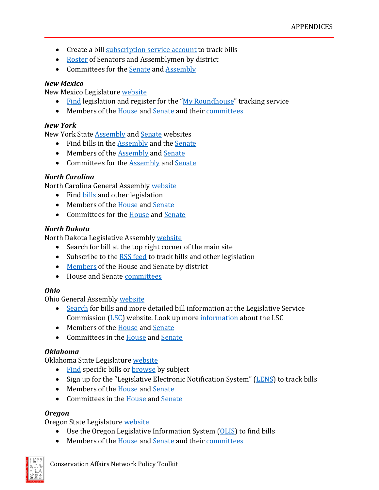- Create a bill [subscription service account](https://www.njleg.state.nj.us/bill-subscription) to track bills
- [Roster](https://www.njleg.state.nj.us/legislative-roster) of Senators and Assemblymen by district
- Committees for the [Senate](https://www.njleg.state.nj.us/committees/senate-committees) and [Assembly](https://www.njleg.state.nj.us/committees/assembly-committees)

## *New Mexico*

New Mexico Legislature [website](http://www.nmlegis.gov/lcs/)

- [Find](http://www.nmlegis.gov/lcs/billfinder/bill_finder.aspx) legislation and register for the ["My Roundhouse"](http://www.nmlegis.gov/lcs/roundhouse/) tracking service
- Members of the [House](http://www.nmlegis.gov/lcs/legislator.aspx?T=R) and [Senate](http://www.nmlegis.gov/lcs/legislator.aspx?T=S) and thei[r committees](http://www.nmlegis.gov/lcs/committees_standing.aspx)

## *New York*

New York State [Assembly](http://assembly.state.ny.us/) and [Senate](http://www.nysenate.gov/) websites

- Find bills in the [Assembly](http://assembly.state.ny.us/leg/) and the [Senate](http://www.nysenate.gov/legislation)
- Members of the [Assembly](http://assembly.state.ny.us/mem/) and [Senate](http://www.nysenate.gov/senators)
- Committees for the [Assembly](http://assembly.state.ny.us/comm/) and [Senate](http://www.nysenate.gov/committees)

## *North Carolina*

North Carolina General Assembly [website](http://www.ncleg.net/)

- Find [bills](http://www.ncleg.net/Legislation/Legislation.html) and other legislation
- Members of the [House](http://www.ncleg.net/gascripts/members/memberList.pl?sChamber=House) and [Senate](http://www.ncleg.net/gascripts/members/memberList.pl?sChamber=senate)
- Committees for the [House](http://www.ncleg.net/gascripts/Committees/Committees.asp?sAction=ViewCommitteeType&sActionDetails=House%20Standing) and [Senate](http://www.ncleg.net/gascripts/Committees/Committees.asp?sAction=ViewCommitteeType&sActionDetails=Senate%20Standing)

## *North Dakota*

North Dakota Legislative Assembly [website](http://www.legis.nd.gov/)

- Search for bill at the top right corner of the main site
- Subscribe to the [RSS feed](http://www.legis.nd.gov/rssfeed) to track bills and other legislation
- [Members](http://www.legis.nd.gov/assembly/63-2013/members/members-by-district) of the House and Senate by district
- House and Senat[e committees](http://www.legis.nd.gov/assembly/63-2013/committees)

# *Ohio*

Ohio General Assembly [website](https://www.legislature.ohio.gov/)

- [Search](http://www.legislature.state.oh.us/search.cfm) for bills and more detailed bill information at the Legislative Service Commission [\(LSC\)](http://www.lsc.state.oh.us/) website. Look up more [information](http://www.legislature.state.oh.us/laws.cfm) about the LSC
- Members of the [House](http://www.ohiohouse.gov/members/member-directory) and [Senate](http://www.ohiosenate.gov/senate/members/senate-directory)
- Committees in the [House](http://www.ohiohouse.gov/committee/standing-committees) an[d Senate](http://www.ohiosenate.gov/committee/senate-standing-committees)

# *Oklahoma*

Oklahoma State Legislature [website](http://www.oklegislature.gov/)

- [Find](http://www.oklegislature.gov/BasicSearchForm.aspx) specific bills or **browse** by subject
- Sign up for the "Legislative Electronic Notification System" [\(LENS\)](http://www.oklegislature.gov/EBillTrack/logon2.aspx) to track bills
- Members of the [House](http://www.okhouse.gov/Members/Default.aspx) and [Senate](http://www.oksenate.gov/Senators/Default.aspx?selectedtab=0)
- Committees in the [House](http://www.okhouse.gov/Committees/Default.aspx) an[d Senate](http://oksenate.gov/Committees/standingcommittees.aspx)

## *Oregon*

Oregon State Legislatur[e website](https://www.oregonlegislature.gov/)

- Use the Oregon Legislative Information System [\(OLIS\)](https://olis.leg.state.or.us/liz/2013I1) to find bills
- Members of the [House](https://www.oregonlegislature.gov/house/Pages/RepresentativesAll.aspx) and [Senate](https://www.oregonlegislature.gov/senate/Pages/SenatorsAll.aspx) and thei[r committees](https://olis.leg.state.or.us/liz/Committees/list/senate)

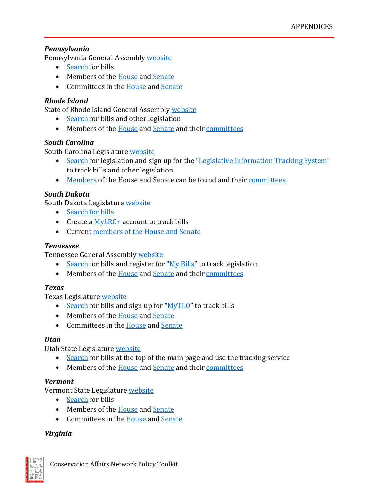## *Pennsylvania*

Pennsylvania General Assembly [website](http://www.legis.state.pa.us/)

- [Search](http://www.legis.state.pa.us/cfdocs/legis/home/bills/) for bills
- Members of the [House](http://www.legis.state.pa.us/cfdocs/legis/home/member_information/mbrList.cfm?body=H&sort=alpha) and [Senate](http://www.legis.state.pa.us/cfdocs/legis/home/member_information/mbrList.cfm?body=S&sort=alpha)
- Committees in the [House](http://www.legis.state.pa.us/cfdocs/CteeInfo/StandingCommittees.cfm?CteeBody=H) an[d Senate](http://www.legis.state.pa.us/cfdocs/CteeInfo/StandingCommittees.cfm?CteeBody=S)

# *Rhode Island*

State of Rhode Island General Assembly [website](http://www.rilin.state.ri.us/)

- [Search](http://www.rilin.state.ri.us/pages/legislation.aspx) for bills and other legislation
- Members of the [House](http://webserver.rilin.state.ri.us/Email/RepEmailListDistrict.asp) and [Senate](http://webserver.rilin.state.ri.us/Email/SenEmailListDistrict.asp) and thei[r committees](http://webserver.rilin.state.ri.us/CommitteeMembers/)

## *South Carolina*

South Carolina Legislature [website](http://www.scstatehouse.gov/)

- [Search](http://www.scstatehouse.gov/legislation.php) for legislation and sign up for the ["Legislative Information Tracking System"](http://www.scstatehouse.gov/lits/litsindex.html) to track bills and other legislation
- [Members](http://www.scstatehouse.gov/email.php?chamber=B) of the House and Senate can be found and their [committees](http://www.scstatehouse.gov/committeeinfo.php)

## *South Dakota*

South Dakota Legislature [website](https://sdlegislature.gov/)

- [Search for bills](https://www.sdlegislature.gov/Session/Archived)
- Create a [MyLRC+](https://mylrc.sdlegislature.gov/) account to track bills
- Current [members of the House and Senate](https://sdlegislature.gov/Legislators/Contacts/66)

## *Tennessee*

Tennessee General Assembly [website](http://www.capitol.tn.gov/)

- [Search](http://www.capitol.tn.gov/legislation/) for bills and register for ["My Bills"](http://www.capitol.tn.gov/legislation/billtracker.html) to track legislation
- Members of the [House](http://www.capitol.tn.gov/house/members/) and [Senate](http://www.capitol.tn.gov/senate/members/) and thei[r committees](http://www.capitol.tn.gov/committees/)

## *Texas*

Texas Legislature [website](http://www.capitol.state.tx.us/)

- [Search](http://www.capitol.state.tx.us/Search/BillSearch.aspx) for bills and sign up for " $MyTLO$ " to track bills
- Members of the [House](http://www.capitol.state.tx.us/Members/Members.aspx?Chamber=H) and [Senate](http://www.capitol.state.tx.us/Members/Members.aspx?Chamber=S)
- Committees in the [House](http://www.capitol.state.tx.us/Committees/CommitteesMbrs.aspx?Chamber=H) an[d Senate](http://www.capitol.state.tx.us/Committees/CommitteesMbrs.aspx?Chamber=S)

# *Utah*

Utah State Legislature [website](http://le.utah.gov/)

- [Search](http://le.utah.gov/asp/billtrack/track.asp) for bills at the top of the main page and use the tracking service
- Members of the [House](http://le.utah.gov/house2/representatives.jsp) and [Senate](http://www.utahsenate.org/aspx/roster.aspx) and thei[r committees](http://le.utah.gov/asp/interim/Main.asp?ComType=All&List=2#Results)

## *Vermont*

Vermont State Legislature [website](http://www.leg.state.vt.us/)

- [Search](http://www.leg.state.vt.us/ResearchMain.cfm) for bills
- Members of the [House](http://www.leg.state.vt.us/House01.cfm) and [Senate](http://www.leg.state.vt.us/Senate01.cfm)
- Committees in the [House](http://www.leg.state.vt.us/legdir/comms.cfm?Body=H&Session=2014) an[d Senate](http://www.leg.state.vt.us/legdir/comms.cfm?Body=S&Session=2014)

## *Virginia*

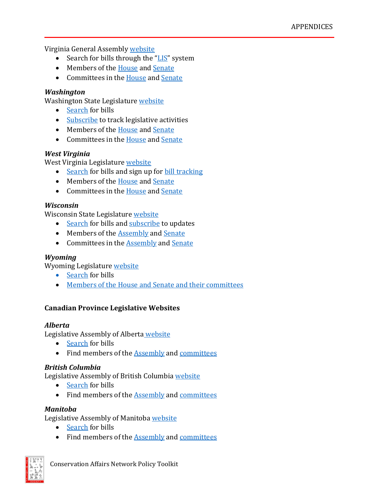Virginia General Assembly [website](http://virginiageneralassembly.gov/)

- Search for bills through the ["LIS"](http://lis.virginia.gov/cgi-bin/legp604.exe?142+men+BIL) system
- Members of the [House](http://virginiageneralassembly.gov/house/members/members.php) and [Senate](http://apps.lis.virginia.gov/sfb1/Senate/TelephoneList.aspx)
- Committees in the [House](http://hodcap.state.va.us/publications/housecommitteechart2014-5.pdf) an[d Senate](http://apps.lis.virginia.gov/sfb1/Senate/StandingCommittees.aspx)

## *Washington*

Washington State Legislature [website](http://www.leg.wa.gov/)

- [Search](http://apps.leg.wa.gov/billinfo/) for bills
- [Subscribe](https://public.govdelivery.com/accounts/WALEG/subscriber/new) to track legislative activities
- Members of the [House](http://www.leg.wa.gov/house/representatives/Pages/default.aspx) and [Senate](http://www.leg.wa.gov/Senate/Senators/Pages/default.aspx)
- Committees in the [House](http://www.leg.wa.gov/House/Committees/Pages/default.aspx) an[d Senate](http://www.leg.wa.gov/SENATE/COMMITTEES/Pages/default.aspx)

## *West Virginia*

West Virginia Legislature [website](http://www.legis.state.wv.us/)

- [Search](http://www.legis.state.wv.us/Bill_Status/bill_status.cfm) for bills and sign up for [bill tracking](http://www.legis.state.wv.us/billstatus_personalized/PBT/persbills_login.cfm)
- Members of the [House](http://www.legis.state.wv.us/House/roster.cfm) and [Senate](http://www.legis.state.wv.us/Senate1/roster.cfm)
- Committees in the [House](http://www.legis.state.wv.us/committees/house/main.cfm) an[d Senate](http://www.legis.state.wv.us/committees/senate/main.cfm)

## *Wisconsin*

Wisconsin State Legislature [website](http://legis.wisconsin.gov/)

- [Search](http://docs.legis.wisconsin.gov/search) for bills and [subscribe](http://docs.legis.wisconsin.gov/feed) to updates
- Members of the [Assembly](http://docs.legis.wisconsin.gov/2013/legislators/senate) and [Senate](http://docs.legis.wisconsin.gov/2013/legislators/assembly)
- Committees in the **Assembly** and **Senate**

## *Wyoming*

Wyoming Legislature [website](http://legisweb.state.wy.us/)

- [Search](http://legisweb.state.wy.us/LSOWEB/SessionArchives.aspx) for bills
- Members of the [House](http://legisweb.state.wy.us/LegislatorSummary/LegislatorList.aspx?strHouse=H&strStatus=N) and [Senate](http://legisweb.state.wy.us/LegislatorSummary/LegislatorList.aspx?strHouse=S&strStatus=N) and thei[r committees](http://legisweb.state.wy.us/LegislatorSummary/IntCommList.aspx)

# **Canadian Province Legislative Websites**

## *Alberta*

Legislative Assembly of Alberta [website](http://www.assembly.ab.ca/)

- [Search](http://www.assembly.ab.ca/net/index.aspx?p=bill§ion=doc&legl=28&session=2) for bills
- Find members of the **Assembly and [committees](http://www.assembly.ab.ca/net/index.aspx?p=membership_list)**

## *British Columbia*

Legislative Assembly of British Columbia [website](https://www.leg.bc.ca/)

- [Search](https://www.leg.bc.ca/legislation/bills.htm) for bills
- Find members of the **Assembly and [committees](https://www.leg.bc.ca/cmt/index.htm)**

## *Manitoba*

Legislative Assembly of Manitob[a website](http://www.gov.mb.ca/hansard/index.html)

- [Search](http://web2.gov.mb.ca/bills/40-3/index.php) for bills
- Find members of the [Assembly](http://www.gov.mb.ca/hansard/members/mla_list_alphabetical.html) and [committees](http://www.gov.mb.ca/hansard/committees/clerks.html)